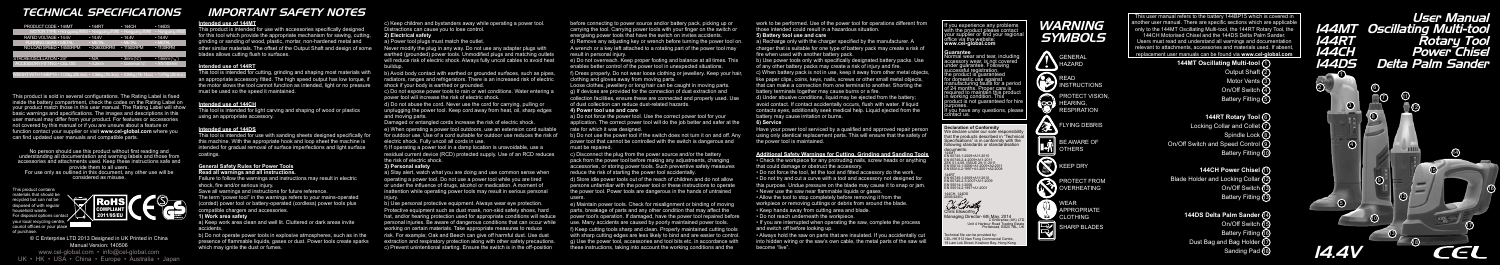No person should use this product without first reading and understanding all documentation and warning labels and those from accessories and attachments used. Keep these instructions safe and provide them to all users. For use only as outlined in this document, any other use will be considered as misuse.

This product is sold in several configurations. The Rating Label is fixed inside the battery compartment, check the codes on the Rating Label on your product match those in this user manual. The Rating Label will show basic warnings and specifications. The images and descriptions in this user manual may differ from your product. For features or accessories not covered by this manual or if you are unsure about a feature or function contact your supplier or visit **www.cel-global.com** where you can find updated user manuals and compatible parts.

© C Enterprise LTD 2013 Designed in UK Printed in China Manual Version: 140506

www.cel-global.com • info@cel-global.com UK • HK • USA • China • Europe • Australia • Japan

## *TECHNICAL SPECIFICATIONS*

# *WARNING SYMBOLS*

# *IMPORTANT SAFETY NOTES*

This product contains materials that should be recycled but can not be disposed of with regular household waste. For disposal options c your local recycling o  $\frac{1}{2}$  council offices or your of purchase.

If you experience any problems with the product please contact your supplier or find your regional office via the website: **www.cel-global.com**

**Guarantee** Normal wear and tear, including accessory wear, is not covered under guarantee. Following successful registration, the product is guaranteed for domestic use against manufacturing faults for a perio of 24 months. Proper care is required to maintain this product in working condition. This product is not guaranteed for hire purposes. purposes.<br>If you have any questions, please contact us.

This user manual refers to the battery 144BP15 which is covered in  $\frac{1}{2}$  another user manual. There are specific sections which are applicable only to the 144MT Oscillating Multi-tool, the 144RT Rotary Tool, the 144CH Motorised Chisel and the 144DS Delta Palm Sander. Users must read and understand all warnings and documentation relevant to attachments, accessories and materials used. If absent replacement user manuals can be found via **www.cel-global.com** 

b) Do not operate power tools in explosive atmospheres, such as in the presence of flammable liquids, gases or dust. Power tools create sparks which may ignite the dust or fumes.

### **Intended use of 144MT**

a) Stay alert, watch what you are doing and use common sense when operating a power tool. Do not use a power tool while you are tired or under the influence of drugs, alcohol or medication. A moment of inattention while operating power tools may result in serious personal injury.

This product is intended for use with accessories specifically designed for this tool which provide the appropriate mechanism for sawing, cutting, grinding or sanding of wood, plastic, mortar, non-hardened metal and other similar materials. The offset of the Output Shaft and design of some blades allows cutting flush to surfaces.

#### **Intended use of 144RT**

This tool is intended for cutting, grinding and shaping most materials with an appropriate accessory fitted. The high speed output has low torque, if the motor slows the tool cannot function as intended, light or no pressure must be used so the speed it maintained.

> b) Use personal protective equipment. Always wear eye protection. Protective equipment such as dust mask, non-skid safety shoes, hard hat, and/or hearing protection used for appropriate conditions will reduce personal injuries. Be aware of dangerous conditions that can occur while working on certain materials. Take appropriate measures to reduce risk. For example; Oak and Beech can give off harmful dust. Use dust extraction and respiratory protection along with other safety precautions. c) Prevent unintentional starting. Ensure the switch is in the off-position

#### **Intended use of 144CH**

This tool is intended for light carving and shaping of wood or plastics using an appropriate accessory.

### **Intended use of 144DS**

This tool is intended for use with sanding sheets designed specifically for this machine. With the appropriate hook and loop sheet the machine is intended for gradual removal of surface imperfections and light surface coatings.

### **General Safety Rules for Power Tools Read all warnings and all instructions.**

Failure to follow the warnings and instructions may result in electric shock, fire and/or serious injury.

Save all warnings and instructions for future reference.

The term "power tool" in the warnings refers to your mains-operated (corded) power tool or battery-operated (cordless) power tools plus compatible chargers and accessories.

#### **1) Work area safety**

a) Keep work area clean and well lit. Cluttered or dark areas invite accidents.

c) Keep children and bystanders away while operating a power tool. Distractions can cause you to lose control.

### **2) Electrical safety**

a) Power tool plugs must match the outlet.

Never modify the plug in any way. Do not use any adapter plugs with earthed (grounded) power tools. Unmodified plugs and matching outlets will reduce risk of electric shock. Always fully uncoil cables to avoid heat buildup.

b) Avoid body contact with earthed or grounded surfaces, such as pipes, radiators, ranges and refrigerators. There is an increased risk of electric shock if your body is earthed or grounded.

- a) Recharge only with the charger specified by the manufacturer. A charger that is suitable for one type of battery pack may create a risk of fire when used with another battery pack.
- b) Use power tools only with specifically designated battery packs. Use of any other battery packs may create a risk of injury and fire. c) When battery pack is not in use, keep it away from other metal objects, like paper clips, coins, keys, nails, screws or other small metal objects that can make a connection from one terminal to another. Shorting the battery terminals together may cause burns or a fire.
- d) Under abusive conditions, liquid may be ejected from the battery; avoid contact. If contact accidentally occurs, flush with water. If liquid contacts eyes, additionally seek medical help. Liquid ejected from the battery may cause irritation or burns.
- Have your power tool serviced by a qualified and approved repair person using only identical replacement parts. This will ensure that the safety of

c) Do not expose power tools to rain or wet conditions. Water entering a power tool will increase the risk of electric shock.

d) Do not abuse the cord. Never use the cord for carrying, pulling or unplugging the power tool. Keep cord away from heat, oil, sharp edges and moving parts.

Damaged or entangled cords increase the risk of electric shock. e) When operating a power tool outdoors, use an extension cord suitable for outdoor use. Use of a cord suitable for outdoor use reduces the risk of electric shock. Fully uncoil all cords in use.

f) If operating a power tool in a damp location is unavoidable, use a residual current device (RCD) protected supply. Use of an RCD reduces the risk of electric shock.

### **3) Personal safety**

### **144MT Oscillating Multi-tool (1)** Output Shaft Motor Vents On/Off Switch 4 Battery Fitting 5 3

before connecting to power source and/or battery pack, picking up or carrying the tool. Carrying power tools with your finger on the switch or energising power tools that have the switch on invites accidents. d) Remove any adjusting key or wrench before turning the power tool on. A wrench or a key left attached to a rotating part of the power tool may result in personal injury.

e) Do not overreach. Keep proper footing and balance at all times. This enables better control of the power tool in unexpected situations. f) Dress properly. Do not wear loose clothing or jewellery. Keep your hair clothing and gloves away from moving parts.



Loose clothes, jewellery or long hair can be caught in moving parts. g) If devices are provided for the connection of dust extraction and collection facilities, ensure these are connected and properly used. Use of dust collection can reduce dust-related hazards.

#### **4) Power tool use and care**

a) Do not force the power tool. Use the correct power tool for your application. The correct power tool will do the job better and safer at the rate for which it was designed.

b) Do not use the power tool if the switch does not turn it on and off. Any power tool that cannot be controlled with the switch is dangerous and must be repaired.

c) Disconnect the plug from the power source and/or the battery pack from the power tool before making any adjustments, changing accessories, or storing power tools. Such preventive safety measures reduce the risk of starting the power tool accidentally.

d) Store idle power tools out of the reach of children and do not allow persons unfamiliar with the power tool or these instructions to operate the power tool. Power tools are dangerous in the hands of untrained users.

e) Maintain power tools. Check for misalignment or binding of moving parts, breakage of parts and any other condition that may affect the power tool's operation. If damaged, have the power tool repaired before use. Many accidents are caused by poorly maintained power tools. f) Keep cutting tools sharp and clean. Properly maintained cutting tools with sharp cutting edges are less likely to bind and are easier to control. g) Use the power tool, accessories and tool bits etc. in accordance with these instructions, taking into account the working conditions and the

work to be performed. Use of the power tool for operations different from those intended could result in a hazardous situation.

# **5) Battery tool use and care**

**6) Service**

the power tool is maintained.

#### **Additional Safety Warnings for Cutting, Grinding and Sanding Tools**

- Check the workpiece for any protruding nails, screw heads or anything that could damage or obstruct the accessory.
- Do not force the tool, let the tool and fitted accessory do the work. • Do not try and cut a curve with a tool and accessory not designed for this purpose. Undue pressure on the blade may cause it to snap or jam.
- Never use the saw near flammable liquids or gases
- Allow the tool to stop completely before removing it from the
- workpiece or removing cuttings or debris from around the blade.
	-
	-
- If you are interrupted when operating the saw, complete the process
- Always hold the saw on parts that are insulated. If you accidentally cut into hidden wiring or the saw's own cable, the metal parts of the saw will

• Keep hands away from cutting area and blade. • Do not reach underneath the workpiece.

and switch off before looking up. become "live".









| PRODUCT CODE . 144MT                                      | $\cdot$ 144RT                              | $\cdot$ 144CH                          | $\cdot$ 144DS         |
|-----------------------------------------------------------|--------------------------------------------|----------------------------------------|-----------------------|
|                                                           | MOTOR TYPE . Hongyang #550 . Hongyang #390 | Hongyang #390                          | • Hongyang #550       |
| RATED VOLTAGE . 14.4V                                     | .14.4V                                     | .14.4V                                 | .14.4V                |
| RUNNING GEAR . METAL                                      | <b>METAL</b>                               | <b>METAL</b>                           | <b>MFTAL</b>          |
| NO LOAD SPEED . 14500RPM                                  | $\cdot$ 0-26000RPM                         | • 11500RPM                             | • 1100RPM             |
|                                                           |                                            |                                        |                       |
| STROKE/OSCILLATION · 2.8°                                 | $\cdot$ N/A                                | $\cdot$ 3mm (%")                       | • 1.6mm $(^{1}_{16})$ |
| ACCESSORY FITTING . CELOIS                                | 3.2 <sub>mm</sub>                          | Common ¼'                              | $\cdot$ 97x140mm      |
|                                                           |                                            |                                        |                       |
| WEIGHT WITH 144BP15 · 1.02kg (2lb 4oz) · 0.56kg (1lb 3oz) |                                            | • 0.84ka (1lb 14oz) • 1.07ka (2lb 6oz) |                       |

**144RT Rotary Tool** 6 Locking Collar and Collet Spindle Lock ( On/Off Switch and Speed Control 9 Battery Fitting (10 7 8

**144CH Power Chisel** 11 **Blade Holder and Locking Collar** On/Off Switch Battery Fitting (13 12 13

> **144DS Delta Palm Sander** 14 On/Off Switch Battery Fitting (16 Dust Bag and Bag Holder (17 Sanding Pad (18) 15

*User Manual 144MT Oscillating Multi-tool 144RT Rotary Tool 144CH Power Chisel* <sup>1</sup> *144DS Delta Palm Sander* <sup>2</sup>